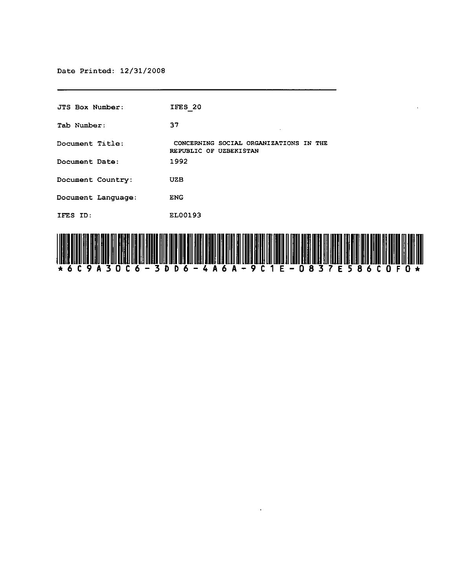| JTS Box Number:    | IFES 20                                                          |
|--------------------|------------------------------------------------------------------|
| Tab Number:        | 37                                                               |
| Document Title:    | CONCERNING SOCIAL ORGANIZATIONS IN THE<br>REPUBLIC OF UZBEKISTAN |
| Document Date:     | 1992                                                             |
| Document Country:  | UZB                                                              |
| Document Language: | <b>ENG</b>                                                       |
| IFES ID:           | EL00193                                                          |
| HIII III           |                                                                  |



 $\epsilon$ 

 $\ddot{\phantom{a}}$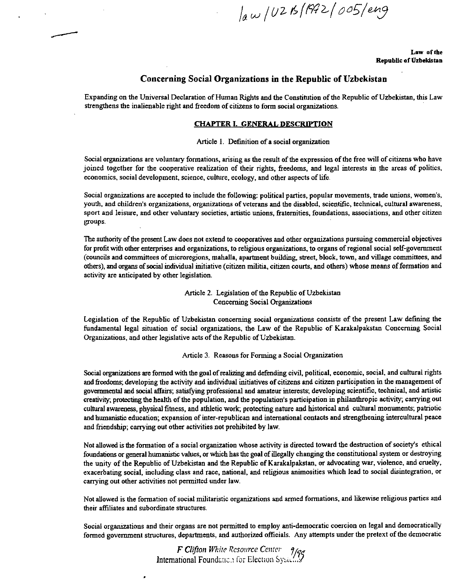law / UZB (1982 / 005/eng

Law of the **Republic of Uzbekistan** 

# **Concerning Social Organizations in the Republic of Uzbekistan**

Expanding on the Universal Declaration of Human Rights and the Constitution of the Republic of Uzbekistan, this Law strengthens the inalienable right and freedom of citizens to form social organizations.

#### **CHAPTER}, GENERAL DESCRIPTION**

Article 1. Definition of a social organization

Social organizations are voluntary formations, arising as the result of the expression of the free will of citizens who have joined together for the cooperative realization of their rights, freedoms, and legal interests in the areas of politics, economics, social development, science, culture, ecology, and other aspects of life.

Social organizations are accepted to include the following: political parties, popular movements, trade unions, women's, **youth. and children's organizations. organizations of veterans and the disabled. scientific. technical, cultural awareness. sport and leisure. and other voluntary societies. artistic unions. fraternities. foundations. associations, and other citizen**  groups.

The authority of the present Law does not extend to cooperatives and other organizations pursuing commercial objectives for profit with other enterprises and organizations, to religious organizations, to organs of regional social self-government (councils and committees of microregions, mahalla, apartment building, street, block, town, and village committees, and others), and organs of social individual initiative (citizen militia, citizen courts, and others) whose means of formation and activity are anticipated by other legislation.

> Article 2. Legislation of the Republic of Uzbekistan Concerning Social Organizations

Legislation of the Republic of Uzbekistan concerning social organizations consists of the present Law defining the fundamental legal situation of social organizations, the Law of the Republic of Karakalpakstan Concerning Social Organizations, and other legislative acts of the Republic of Uzbekistan.

Article 3. Reasons for Forming a Social Organization

Social organizations are formed with the goal of realizing and defending civil, political, economic, social, and cultural rights and freedoms; developing the activity and individual initiatives of citizens and citizen participation in the management of governmental and social affairs; satisfying professional and amateur interests; developing scientific, technical, and artistic creativity; protecting the health of the population, and the population's participation in philanthropic activity; carrying out cultural awareness, physical fitness, and athletic work; protecting nature and historical and cultural monuments; patriotic and humanistic education; expansion of inter-repUblican and international contacts and strengthening intercultural peace and friendship; carrying out other activities not prohibited by law.

Not allowed is the formation of a social organization whose activity is directed toward the destruction of society's ethical foundations or general humanistic values, or which has the goal of illegally changing the constitutional system or destroying the unity of the Republic of Uzbekistan and the Republic of Karakalpakstan, or advocating war, violence, and cruelty, exacerbating social, including class and race, national, and religious animosities which lead to social disintegration, or **carrying out other activities not pennitted under law.** 

**Not allowed is the fonnation of social militaristic organizations and armed fonnations. and likewise religious parties and**  their affiliates and subordinate structures.

Social organizations and their organs are not permitted to employ anti-democratic coercion on legal and democratically formed government structures, departments, and authorized officials. Any attempts under the pretext of the democratic

> *F Clifton While Resource* Cenlcl' *7/T*  International Foundation for Election Sysic $\mathbb{Z}^2$ .

×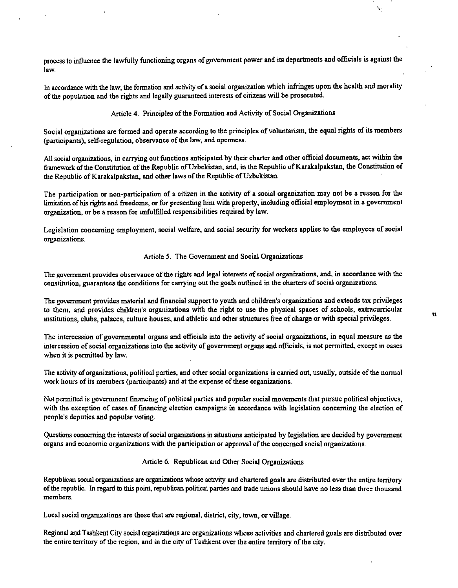process to influence the lawfully functioning organs of government power and its departments and officials is against the law.

In accordance with the law, the formation and activity of a social organization which infringes upon the health and morality of the population and the rights and legally guaranteed interests of citizens will be prosecuted.

Article 4. Principles of the Formation and Activity of Social Organizations

Social organizations are formed and operate according to the principles of voluntarism, the equal rights of its members (participants), self-regulation, observance of the law, and openness.

All social organizations, in carrying out functions anticipated by their charter and other official documents, act within the framework of the Constitution of the Republic of Uzbekistan, and, in the Republic of Karakalpakstan, the Constitution of the Republic of Karakalpakstan, and other laws of the Republic of Uzbekistan.

The participation or non-participation of a citizen in the activity of a social organization may not be a reason for the limitation ofhis rights and freedoms, or for presenting him with property, including official employment in a government organization, or be a reason for unfulfilled responsibilities required by law.

Legislation concerning employment, social welfare, and social security for workers applies to the employees of social **organizations.** 

#### Article 5. The Government and Social Organizations

The government provides observance of the rights and legal interests of social organizations, and, in accordance with the **constitution. guarantees the conditions for carrying out the goals outlined in the charters of social organizations.** 

The government provides material and financial support to youth and children's organizations and extends tax privileges to them, and provides children's organizations with the right to use the physical spaces of schools, extracurricular institutions, clubs, palaces, culture houses, and athletic and other structures free of charge or with special privileges.

The intercession of governmental organs and officials into the activity of social organizations, in equal measure as the intercession of social organizations into the activity of government organs and officials, is not permitted, except in cases when it is permitted by law.

The activity of organizations, political parties, and other social organizations is carried out, usually, outside of the normal work hours of its members (participants) and at the expense of these organizations.

Not permined is government financing of political parties and popnlar social movements that pursue political objectives, with the exception of cases of financing election campaigns in accordance with legislation concerning the election of people's deputies and popular voting.

Questions concerning the interests of social organizations in situations anticipated by legislation are decided by government **organs and economic organizations with the participation or approval of the concerned social organizations.** 

# Article 6. Republican and Other Social Organizations

Republican social organizations are organizations whose activity and chartered goals are distributed over the entire territory of the republic. In regard to this point, republicao political parties and trade unions should have no less than three thousand **members.** 

Local social organizations are those that are regional, district, city, town, or village.

Regional and Tashkent City social organizations are organizations whose activities and chartered goals are distributed over the entire territory of the region, and in the city of Tashkent over the entire territory of the city.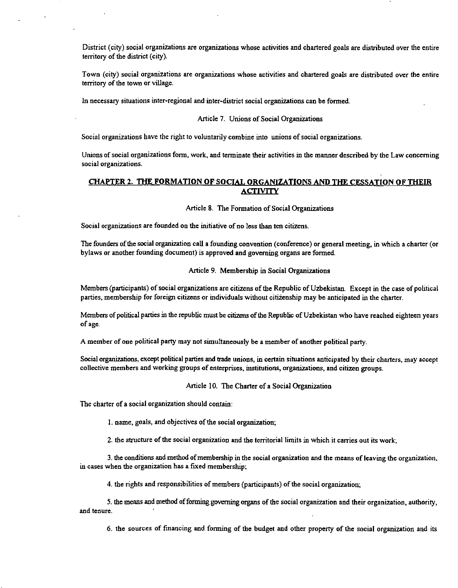District (city) social organizations are organizations whose activities and chartered goals are distributed over the entire territory of the district (city).

Town (city) social organizations are organizations whose activities and chartered goals are distributed over the entire territory of the town or village.

In necessary situations inter-regional and inter-district social organizations can be formed.

#### Article 7. Unions of Social Organizations

Social organizations have the right to voluntarily combine into unions of social organizations.

Unions of social organizations form, work. and terminate their activities in the manner described by the Law concerning **social organizations.** 

# CHAPTER 2. THE FORMATION OF SOCIAL ORGANIZATIONS AND THE CESSATION OF THEIR ACTIVITY

Article 8. The Formation of Social Organizations

**Social organizations are founded 00 the initiative of no less than ten citizens.** 

The founders of the social organization caU a founding convention (conference) or general meeting, in which a charter (or bylaws or another founding document) is approved and governing organs are formed.

Article 9. Membership in Social Organizations

Members (participants) of social organizations are citizens of the Republic of Uzbekistan. Except in the case of political parties, membership for foreign citizens or individuals without citizenship may be anticipated in the charter.

Members of political parties in the republic must be citizens of the Repnblic of Uzbekistan who have reached eighteen years ofage.

A member of one political party may not simultaneously be a member of another political party.

Social organizations, except political parties and trade unions, in certain situations anticipated by their charters, may accept **collective members and working groups of enterprises. institutions, organizations, and citizen groups.** 

Article 10. The Charter of a Social Organization

The charter of a social organization should contain:

I. name, goals, and objectives of the social organization;

2. **the structure of the social organization and the tenitoriallimits in which it carries out its** work~

3. the conditions and method of membership in the social organization and the means of leaving the organization, in cases when the organization has a fixed membership;

4. the rights and responsibilities of members (participants) of the social organization;

5. the means and method of forming governing organs of the social organization and their organization, authority, **and tenure.** 

6. the sources of fmancing and forming of the budget and other property of the social organization and its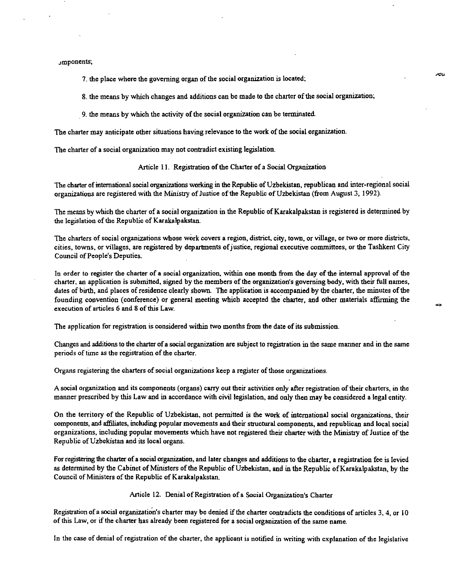Jmponents~

- 7. the place where the governing organ of the social organization is located:
- 8. the means by which changes and additions can be made to the charter of the social organization;
- . 9. the means by which the activity of the social organization can be terminated.

The charter may anticipate other situations having relevance to the work of the social organization.

The charter of a social organization may not contradict existing legislation.

## Article II. Registration of the Charter of a Social Organization

The charter of international social organizations working in the Republic of Uzbekistan, republican and inter-regional social organizations are registered with the Ministry of Justice of the RepUblic of Uzbekistan (from August 3,1992).

The means by which the charter of a social organization in the Republic ofKarakalpakstan is registered is determined by the legislation of the Republic of Karakalpakstan.

**The charters of social organizations whose work covers a region, district, city, town, or village, or two or more districts,**  cities, towns, or villages, are registered by departments of justice, regional executive committees, or the Tashkent City Council of People's Deputies.

In order to register the charter of a social organization, within one month from the day of the internal approval of the charter, an application is submitted, signed by the members of the organization's governing body, with their full names, dates of birth, and places of residence clearly shown. The application is accompanied by the charter, the minutes of the founding convention (conference) or general meeting which accepted the charter, and other materials affirming the execution of articles 6 and 8 of this Law.

The application for registration is considered within two months from the date of its submission.

Changes and additions to the charter of a social organization are subject to registration in the same manner and in the same periods of time as the registration of the charter.

Organs registering the charters of social organizations keep a register of those organizations.

A social organization and its components (organs) carry out their activities only after registration of their charters, in the manner prescribed by this Law and in accordance with civil legislation, and only then may be considered a legal entity.

On the territory of the Republic of Uzbekistan, not permitted is the work of international social organizations. their components, and affiliates, including popular movements and their structural components, and republican and local social organizations, including popular movements which have not registered their charter with the Ministry of Justice of the Republic of Uzbekistan and its local organs.

For registering the charter of a social organization, and later changes and additions to the charter, a registration fee is levied as determined by the Cabinet of Ministers of the Republic of Uzbekistan, and in the Republic of Karakalpakstan, by the Council of Ministers of the Republic of Karakalpakstan.

## Article 12. Denial of Registration of a Social Organization's Charter

Registration of a social organization's charter may be denied if the charter contradicts the conditions of articles 3, 4, or 10 of this Law, or if the charter has already been registered for a social organization of the same name.

In the case of denial of registration of the charter, the applicant is notified in writing with explanation of the legislative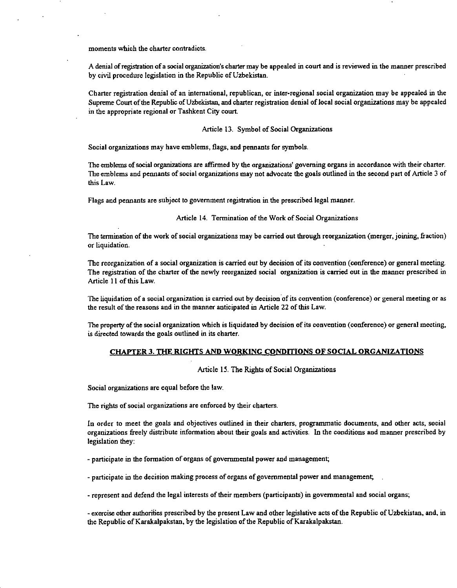**moments which the charter contradicts.** 

A denial of registratioo of a social organizatioo's charter may be appealed in court and is reviewed in the manner prescribed by civil procedure legislation in the Republic of Uzbekistan.

Charter registration denial of an international, republican, or inter-regional social organization may be appealed in the Supreme Court of the Republic of Uzbekistan, and charter registration denial of local social organizations may be appealed in the appropriate regional or Tashkent City court.

#### Article 13. Symbol of Social Organizations

Social organizations may have emblems, flags, and pennants for symbols.

The emblems of social organizations are affirmed by the organizations' governing organs in accordance with their charter. The emblems and pennants of social organizations may not advocate the goals outlined in the second part of Article 3 of this Law.

Flags and pennants are subject to government registration in the prescribed legal manner.

## Article 14. Termination of the Work of Social Organizations

The tennination of the work of social organizations may be carried out through reorganization (merger, joining, fraction) or liquidation.

The reorganization of a social organization is carried out by decision of its convention (conference) or general meeting. The registration of the charter of the newly reorganized social organization is carried out in the manner prescribed in Article II of this Law.

The liquidation of a social organization is carried out by decision of its convention (conference) or general meeting or as the result of the reasons and in the manner anticipated in Article 22 of this Law.

**The property** of the **social organization which is liquidated by decision of its convention (conference) or general meeting.**  is directed towards the goals outlined in its charter.

## CHAPTER 3. THE RIGHTS AND WORKING CONDITIONS OF SOCIAL ORGANIZATIONS

#### Article 15. The Rights of Social Organizations

Social organizations are equal before the law.

The rights of social organizations are enforced by their charters.

In order to meet the goals and objectives outlined in their charters, programmatic documents, and other acts, social organizations freely distribute information about their goals and activities. In the conditions and manner prescribed by legislation they:

- participate in the formation of organs of governmental power and management;

- participate in the decision making process of organs of governmental power and management;

- represent and defend the legal interests of their members (participants) in governmental and social organs;

- exercise other authorities prescribed by the present Law and other legislative acts of the Republic of Uzbekistan, and, in the Republic of Karakalpakstan, by the legislation of the Republic of Karakalpakstan.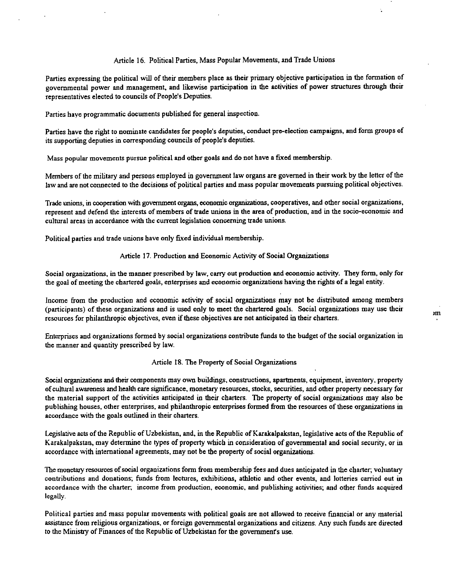# Article 16. Political Parties, Mass Popular Movements, and Trade Unions

Parties expressing the political will of their members place as their primary objective participation in the formation of governmental power and management, and likewise participation in the activities of power structures through their representatives elected to councils of People's Deputies.

Parties have programmatic documents published for general inspection.

Parties have the right to nominate candidates for people's deputies, conduct pre-election campaigns, and form groups of its supporting deputies in corresponding councils of people's deputies.

Mass popular movements pursue political and other goals and do not have a fixed membership.

Members of the military and persons employed in government law organs are governed in their work by the letter of the law and are not connected to the decisions of political parties and mass popular movements pursuing political objectives.

Trade unions, in cooperation with government organs, economic organizations, cooperatives, and other social organizations, represent and defend the interests of members of trade unions in the area of production, and in the socio-economic and **cultural areas in accordance with the current legislation concerning trade unions.** 

Political parties and trade unions have only fIXed individual membership.

#### Article 17. Production and Economic Activity of Social Organizations

Social organizations, in the manner prescribed by law, carry out production and economic activity. They form, only for the goal of meeting the chartered goals, enterprises and economic organizations having the rights of a legal entity.

Income from the production and economic activity of social organizations may not be distributed among members (participants) of these organizations and is used only to meet the chartered goals. Social organizations may use their resources for philanthropic objectives, even if these objectives are not anticipated in their charters.

Enterprises and organizations formed by social organizations contribute funds to the budget of the social organization in the manner and quantity prescribed by law.

## Article 18. The Property of Social Organizations

Social organizations and their components may own buildings, constructions, apartments, equipment, inventory, property of cultural awareness and health care significance, monetary resources, stocks, securities. and other property necessary for the material support of the activities anticipated in their charters. The property of social organizations may also be publishing houses. other enterprises, and philanthropic enterprises formed from the resources of these organizations in accordance with the goals outlined in their charters.

Legislative acts of the Republic of Uzbekistan, and, in the Republic of Karakalpakstan, legislative acts of the Republic of Karakalpakstan, may determine the types of property which in consideration of governmental and social security, or in accordance with international agreements, may not be the property of social organizations.

The monetary resources of social organizations form from membership fees and dues anticipated in the charter, voluntary **contributions and** donations~ **funds from lectures, exhibitions, athletic and other events. and lotteries carried out in**  accordance with the charter; income from production, economic, and publishing activities; and other funds acquired legally.

Political parties and mass popular movements with political goals are not allowed to receive fmancial or any material assistance from religious organizations, or foreign governmental organizations and citizens. Any such funds are directed to the Ministry of Finances of the Republic of Uzbekistan for the governmenrs use.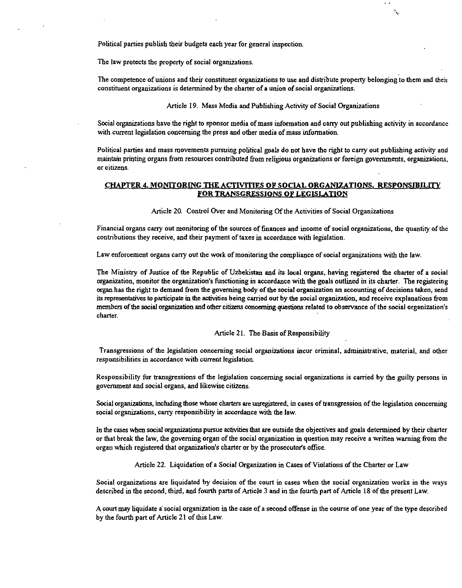Political parties publish their budgets each year for general inspection.

The law protects the property of social organizations.

The competence of unions and their constituent organizations to use and distribute property belonging to them and their **constituent organizations is determined by the charter of a union of social organizations.** 

Article 19. Mass Media and Publishing Activity of Social Organizations

Social organizations have the right to sponsor media of mass infonnation and cany out publishing activity in accordance with current legislation concerning the press and other media of mass information.

Political parties and mass movements pursuing political goals do not have the right to cany out publishing activity and maintain printing organs from resources contributed from religious organizations or foreign governments. organizations, **Of citizens.** 

# CHAPTER 4. MONITORING THE ACTIVITIES OF SOCIAL ORGANIZATIONS. RESPONSIBILITY FOR TRANSGRESSIONS OF LEGISLATION

Article 20. Control Over and Monitoring Of the Activities of Social Organizations

**Financial organs carry out monitoring of the sources of finances and income of social organizations, the quantity of the**  contributions they receive. and their payment of taxes in accordance with legislation.

Law enforcement organs cany out the work of monitoring the compliance of social organizations with the law.

The Ministry of Justice of the Republic of UZbekistan and its local organs, having registered the charter of a social organization, monitor the organization's functioning in accordance with the goals outlined in its charter. The registering organ has the right to demand from the governing body of the social organization an accounting of decisions taken, send its representatives to participate in the activities being carried out by the social organization, and receive explanations from members of the social organization and other citizens concerning questions related to observance of the social organization'S charter.

Article 21. The Basis of Responsibility

**Transgressions of the legislation concerning social organizations incur criminal, administrative, material, and other responsibilities in accordance with current legislation.** 

Responsibility for transgressions of the legislation concerning social organizations is carried by the guilty persons in government and social organs, and likewise citizens.

Social organizations, including those whose charters are unregistered, in cases of transgression of the legislation concerning social organizations, cany responsibility in accordance with the law.

In the cases when social organizations pursue activities that are outside the objectives and goals determined by their charter or that break the law, the governing organ of the social organization in question may receive a written warning from the organ which registered that organization's charter or by the prosecutor's office.

Article 22. Liquidation of a Social Organization in Cases of Violations of the Charter or Law

**Social organizations are liquidated by decision of the court in cases when the social organization works in the ways**  described in the second, third, and fourth parts of Article 3 and in the fourth part of Article 18 of the present Law.

A court may liquidate a social organization in the case of a second offense in the course of one year of the type described by the fourth part of Article 21 of this Law.